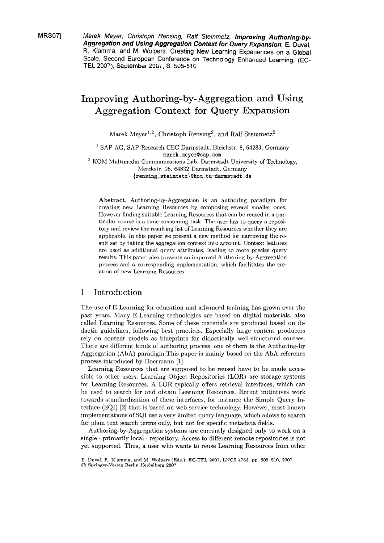**MRS07]** 

Marek Meyer, Christoph Rensing, Ralf Steinmetz; Improving Authoring-by-Aggregation and Using Aggregation Context for Query Expansion; E. Duval, R. Klamma, and M. Wolpers: Creating New Learning Experiences on a Global Scale, Second European Conference on Technology Enhanced Learning, (EC-TEL 2007), September 2007, S. 505-510

# Improving Authoring-by-Aggregation and Using Aggregation Context for Query Expansion

Marek Meyer<sup>1,2</sup>, Christoph Rensing<sup>2</sup>, and Ralf Steinmetz<sup>2</sup>

<sup>1</sup> SAP AG, SAP Research CEC Darmstadt, Bleichstr. 8, 64283, Germany marek.meyer@sap.com

<sup>2</sup> KOM Multimedia Communications Lab, Darmstadt University of Technology, Merckstr. 25, 64832 Darmstadt, Germany

{rensing, steinmetz}@kom.tu-darmstadt.de

Abstract. Authoring-by-Aggregation is an authoring paradigm for creating new Learning Resources by composing several smaller ones. However finding suitable Learning Resources that can be reused in a particular course is a time-consuming task. The user has to query a repository and review the resulting list of Learning Resources whether they are applicable. In this paper we present a new method for narrowing the result set by taking the aggregation context into account. Context features are used as additional query attributes, leading to more precise query results. This paper also presents an improved Authoring-by-Aggregation process and a corresponding implementation, which facilitates the creation of new Learning Resources.

#### $\mathbf{1}$ Introduction

The use of E-Learning for education and advanced training has grown over the past years. Many E-Learning technologies are based on digital materials, also called Learning Resources. Some of these materials are produced based on didactic guidelines, following best practices. Especially large content producers rely on content models as blueprints for didactically well-structured courses. There are different kinds of authoring process; one of them is the Authoring-by Aggregation (AbA) paradigm. This paper is mainly based on the AbA reference process introduced by Hoermann [1].

Learning Resources that are supposed to be reused have to be made accessible to other users. Learning Object Repositories (LOR) are storage systems for Learning Resources. A LOR typically offers retrieval interfaces, which can be used to search for and obtain Learning Resources. Recent initiatives work towards standardization of these interfaces, for instance the Simple Query Interface (SQI) [2] that is based on web service technology. However, most known implementations of SQI use a very limited query language, which allows to search for plain text search terms only, but not for specific metadata fields.

Authoring-by-Aggregation systems are currently designed only to work on a single - primarily local - repository. Access to different remote repositories is not yet supported. Thus, a user who wants to reuse Learning Resources from other

E. Duval, R. Klamma, and M. Wolpers (Eds.): EC-TEL 2007, LNCS 4753, pp. 505-510, 2007 © Springer-Verlag Berlin Heidelberg 2007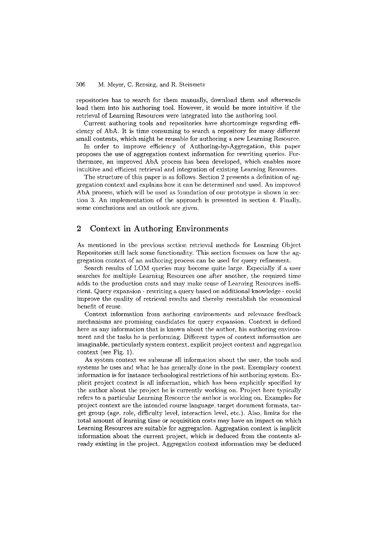#### 506 M. Meyer, C. Rensing, and R. Steinmetz

repositories has to search for them manually, download them and afterwards load them into his authoring tool. However, it would be more intuitive if the retrieval of Learning Resources were integrated into the authoring tool.

Current authoring tools and repositories have shortcomings regarding efficiency of AbA. It is time consuming to search a repository for many different small contents, which might be reusable for authoring a new Learning Resource.

In order to improve efficiency of Authoring-by-Aggregation, this paper proposes the use of aggregation context information for rewriting queries. Furthermore, an improved AbA process has been developed, which enables more intuitive and efficient retrieval and integration of existing Learning Resources.

The structure of this paper is as follows. Section 2 presents a definition of aggregation context and explains how it can be determined and used. An improved AbA process, which will be used as foundation of our prototype is shown in section 3. An implementation of the approach is presented in section 4. Finally, some conclusions and an outlook are given.

#### $\overline{2}$ Context in Authoring Environments

As mentioned in the previous section retrieval methods for Learning Object Repositories still lack some functionality. This section focusses on how the aggregation context of an authoring process can be used for query refinement.

Search results of LOM queries may become quite large. Especially if a user searches for multiple Learning Resources one after another, the required time adds to the production costs and may make reuse of Learning Resources inefficient. Query expansion - rewriting a query based on additional knowledge - could improve the quality of retrieval results and thereby reestablish the economical benefit of reuse.

Context information from authoring environments and relevance feedback mechanisms are promising candidates for query expansion. Context is defined here as any information that is known about the author, his authoring environment and the tasks he is performing. Different types of context information are imaginable, particularly system context, explicit project context and aggregation context (see Fig. 1).

As system context we subsume all information about the user, the tools and systems he uses and what he has generally done in the past. Exemplary context information is for instance technological restrictions of his authoring system. Explicit project context is all information, which has been explicitly specified by the author about the project he is currently working on. Project here typically refers to a particular Learning Resource the author is working on. Examples for project context are the intended course language, target document formats, target group (age, role, difficulty level, interaction level, etc.). Also, limits for the total amount of learning time or acquisition costs may have an impact on which Learning Resources are suitable for aggregation. Aggregation context is implicit information about the current project, which is deduced from the contents already existing in the project. Aggregation context information may be deduced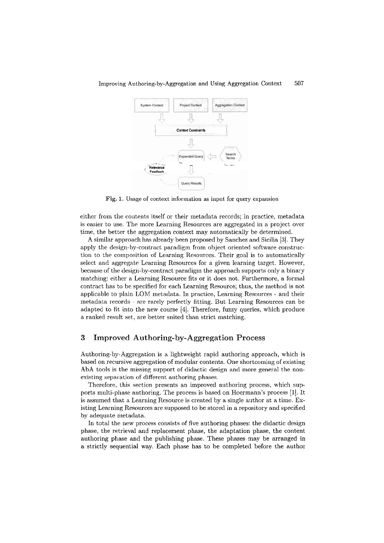

Fig. 1. Usage of context information as input for query expansion

either from the contents itself or their metadata records: in practice, metadata is easier to use. The more Learning Resources are aggregated in a project over time, the better the aggregation context may automatically be determined.

A similar approach has already been proposed by Sanchez and Sicilia [3]. They apply the design-by-contract paradigm from object oriented software construction to the composition of Learning Resources. Their goal is to automatically select and aggregate Learning Resources for a given learning target. However, because of the design-by-contract paradigm the approach supports only a binary matching: either a Learning Resource fits or it does not. Furthermore, a formal contract has to be specified for each Learning Resource; thus, the method is not applicable to plain LOM metadata. In practice, Learning Resources - and their metadata records - are rarely perfectly fitting. But Learning Resources can be adapted to fit into the new course [4]. Therefore, fuzzy queries, which produce a ranked result set, are better suited than strict matching.

#### **Improved Authoring-by-Aggregation Process** 3

Authoring-by-Aggregation is a lightweight rapid authoring approach, which is based on recursive aggregation of modular contents. One shortcoming of existing AbA tools is the missing support of didactic design and more general the nonexisting separation of different authoring phases.

Therefore, this section presents an improved authoring process, which supports multi-phase authoring. The process is based on Hoermann's process [1]. It is assumed that a Learning Resource is created by a single author at a time. Existing Learning Resources are supposed to be stored in a repository and specified by adequate metadata.

In total the new process consists of five authoring phases: the didactic design phase, the retrieval and replacement phase, the adaptation phase, the content authoring phase and the publishing phase. These phases may be arranged in a strictly sequential way. Each phase has to be completed before the author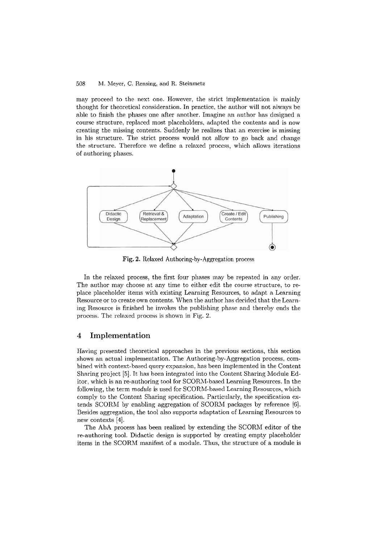#### 508 M. Meyer, C. Rensing, and R. Steinmetz

may proceed to the next one. However, the strict implementation is mainly thought for theoretical consideration. In practice, the author will not always be able to finish the phases one after another. Imagine an author has designed a course structure, replaced most placeholders, adapted the contents and is now creating the missing contents. Suddenly he realizes that an exercise is missing in his structure. The strict process would not allow to go back and change the structure. Therefore we define a relaxed process, which allows iterations of authoring phases.



Fig. 2. Relaxed Authoring-by-Aggregation process

In the relaxed process, the first four phases may be repeated in any order. The author may choose at any time to either edit the course structure, to replace placeholder items with existing Learning Resources, to adapt a Learning Resource or to create own contents. When the author has decided that the Learning Resource is finished he invokes the publishing phase and thereby ends the process. The relaxed process is shown in Fig. 2.

#### $\boldsymbol{4}$ Implementation

Having presented theoretical approaches in the previous sections, this section shows an actual implementation. The Authoring-by-Aggregation process, combined with context-based query expansion, has been implemented in the Content Sharing project [5]. It has been integrated into the Content Sharing Module Editor, which is an re-authoring tool for SCORM-based Learning Resources. In the following, the term *module* is used for SCORM-based Learning Resources, which comply to the Content Sharing specification. Particularly, the specification extends SCORM by enabling aggregation of SCORM packages by reference [6]. Besides aggregation, the tool also supports adaptation of Learning Resources to new contexts  $[4]$ .

The AbA process has been realized by extending the SCORM editor of the re-authoring tool. Didactic design is supported by creating empty placeholder items in the SCORM manifest of a module. Thus, the structure of a module is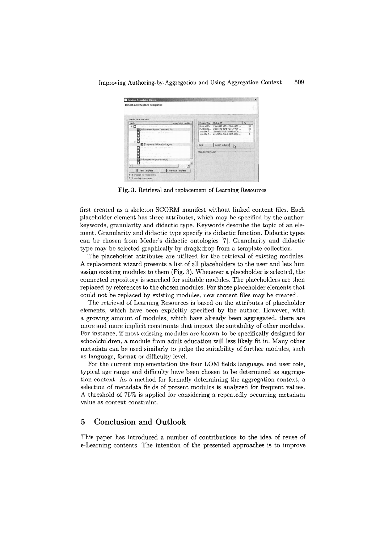

Fig. 3. Retrieval and replacement of Learning Resources

first created as a skeleton SCORM manifest without linked content files. Each placeholder element has three attributes, which may be specified by the author: keywords, granularity and didactic type. Keywords describe the topic of an element,. Granularity and didactic type specify its didactic function. Didactic types ca.n be chosen from Meder's didactic ontologies *[7].* Granularity and didactic type may be selected graphically by dragkdrop from a template collection.

The placeholder attributes are utilized for the retrieval of existing modules. A replacement wizard presents a list of all placeholders to the user and lets him assign existing modules to them (Fig. 3). Whenever a placeholder is selected, the connected repository is searched for suitable modules. The placeholders are then replaced by references to the chosen modules. For those placeholder elements that could not be replaced by existing modules, new content files may be created.

The retrieval of Learning Resources is based on the attributes of placeholder elements, which have been explicitly specified by the author. However, with a growing amount of modules, which have already been aggregated, there are more and more implicit constraints that impact the suitability of other modules. For instance, if most existing modules are known to be specifically designed for schoolchildren, a module from adult education will less likely fit in. Many other rrietadata can be used similarly to judge the suitability of further modules, such as language, format or difficulty level.

For the current implementation the four LOM fields language, end user role, typical age range and difficulty have been chosen to be determined as aggregation context. As a method for formally determining the aggregation context, a selection of metadata fields of present modules is analyzed for frequent values. A threshold of  $75\%$  is applied for considering a repeatedly occurring metadata value as context constraint.

# **5 Conclusion and Outlook**

This paper has introduced a number of contributions to the idea of reuse of e-Learning contents. The intention of the presented approaches is to improve